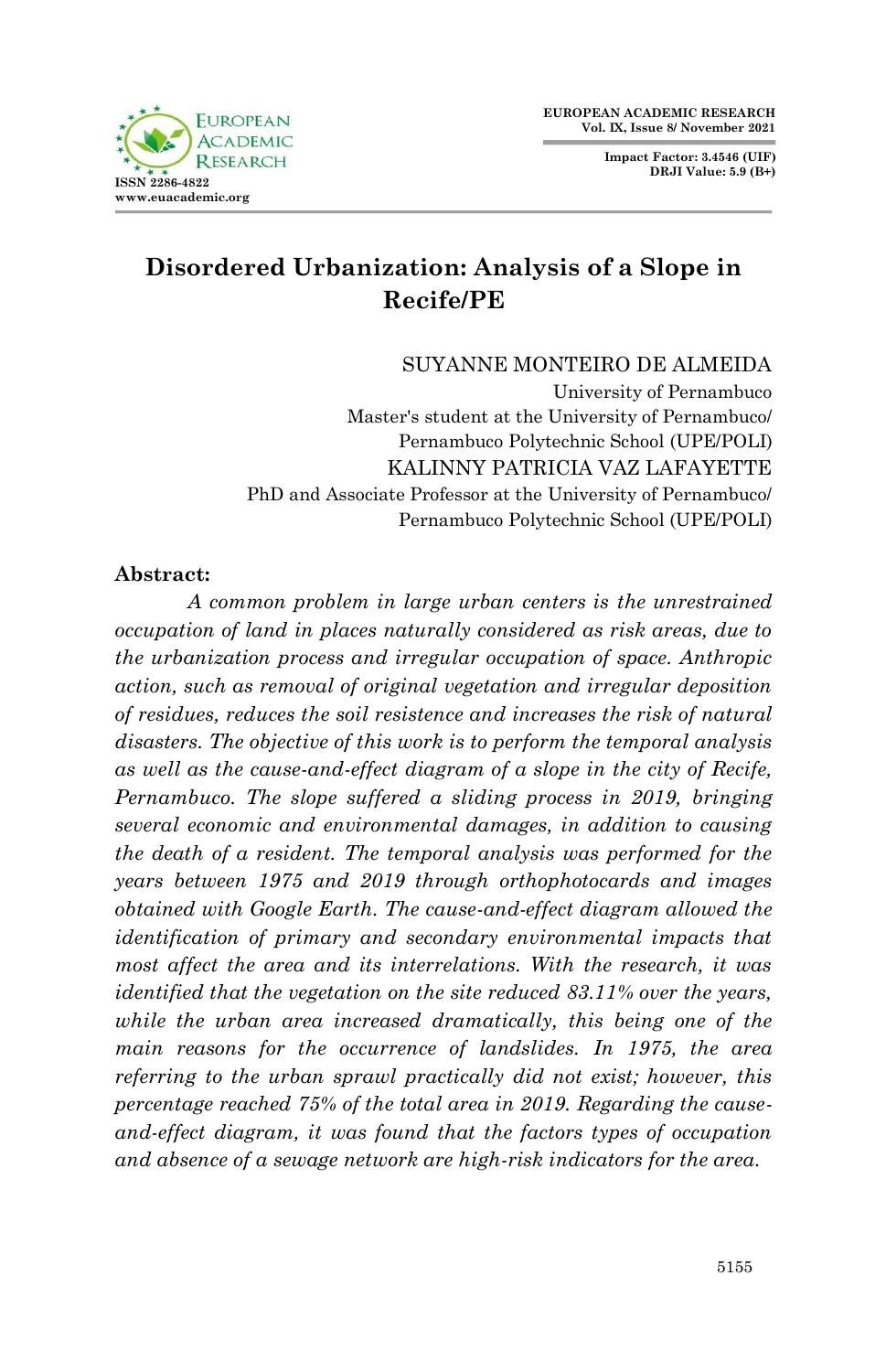**FUROPEAN ACADEMIC**  $D$  ESE **ISSN 2286-4822 www.euacademic.org**

**Impact Factor: 3.4546 (UIF) DRJI Value: 5.9 (B+)**

# **Disordered Urbanization: Analysis of a Slope in Recife/PE**

SUYANNE MONTEIRO DE ALMEIDA

University of Pernambuco Master's student at the University of Pernambuco/ Pernambuco Polytechnic School (UPE/POLI) KALINNY PATRICIA VAZ LAFAYETTE PhD and Associate Professor at the University of Pernambuco/ Pernambuco Polytechnic School (UPE/POLI)

#### **Abstract:**

*A common problem in large urban centers is the unrestrained occupation of land in places naturally considered as risk areas, due to the urbanization process and irregular occupation of space. Anthropic action, such as removal of original vegetation and irregular deposition of residues, reduces the soil resistence and increases the risk of natural disasters. The objective of this work is to perform the temporal analysis as well as the cause-and-effect diagram of a slope in the city of Recife, Pernambuco. The slope suffered a sliding process in 2019, bringing several economic and environmental damages, in addition to causing the death of a resident. The temporal analysis was performed for the years between 1975 and 2019 through orthophotocards and images obtained with Google Earth. The cause-and-effect diagram allowed the identification of primary and secondary environmental impacts that most affect the area and its interrelations. With the research, it was identified that the vegetation on the site reduced 83.11% over the years, while the urban area increased dramatically, this being one of the main reasons for the occurrence of landslides. In 1975, the area referring to the urban sprawl practically did not exist; however, this percentage reached 75% of the total area in 2019. Regarding the causeand-effect diagram, it was found that the factors types of occupation and absence of a sewage network are high-risk indicators for the area.*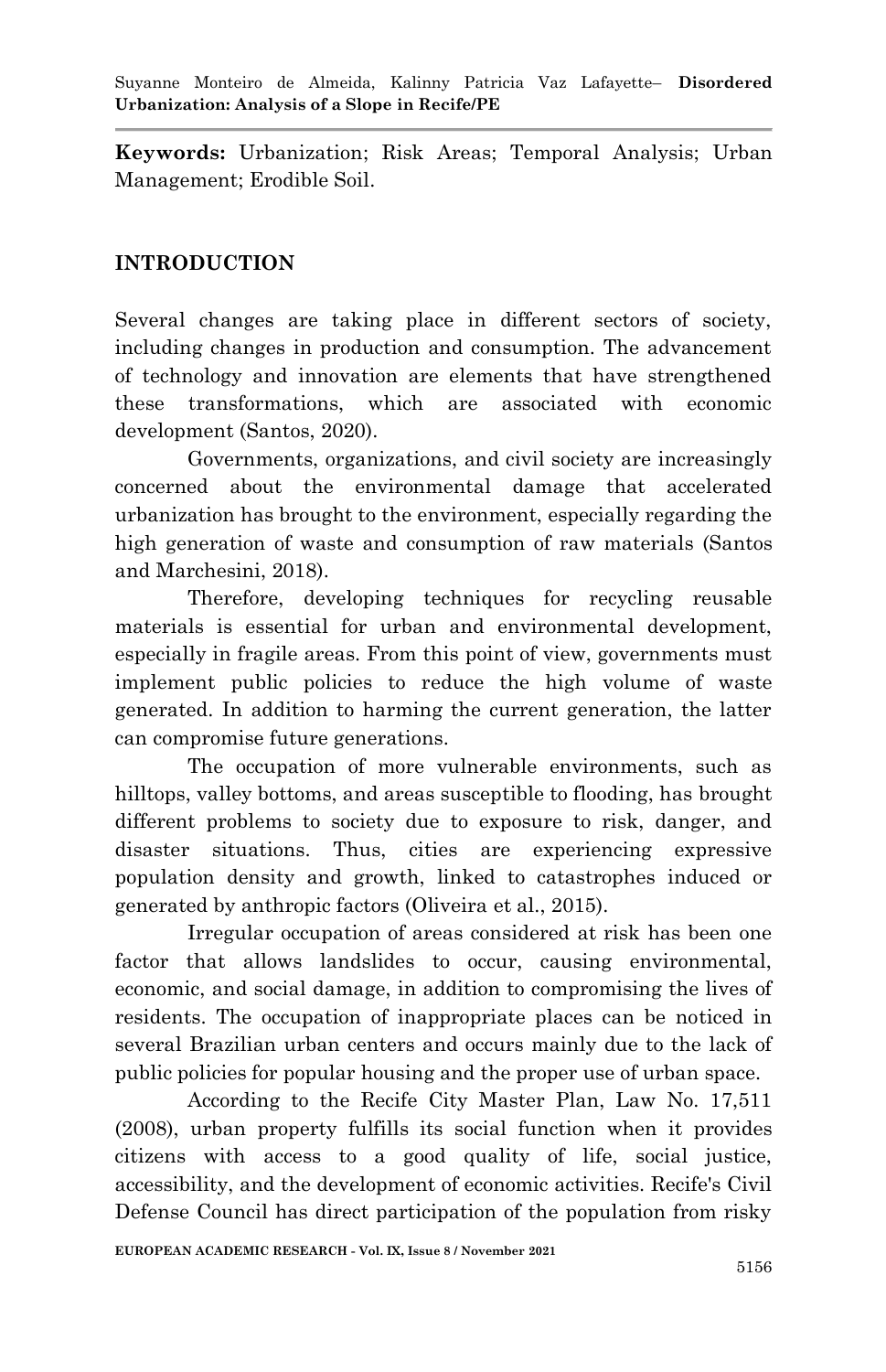**Keywords:** Urbanization; Risk Areas; Temporal Analysis; Urban Management; Erodible Soil.

# **INTRODUCTION**

Several changes are taking place in different sectors of society, including changes in production and consumption. The advancement of technology and innovation are elements that have strengthened these transformations, which are associated with economic development (Santos, 2020).

Governments, organizations, and civil society are increasingly concerned about the environmental damage that accelerated urbanization has brought to the environment, especially regarding the high generation of waste and consumption of raw materials (Santos and Marchesini, 2018).

Therefore, developing techniques for recycling reusable materials is essential for urban and environmental development, especially in fragile areas. From this point of view, governments must implement public policies to reduce the high volume of waste generated. In addition to harming the current generation, the latter can compromise future generations.

The occupation of more vulnerable environments, such as hilltops, valley bottoms, and areas susceptible to flooding, has brought different problems to society due to exposure to risk, danger, and disaster situations. Thus, cities are experiencing expressive population density and growth, linked to catastrophes induced or generated by anthropic factors (Oliveira et al., 2015).

Irregular occupation of areas considered at risk has been one factor that allows landslides to occur, causing environmental, economic, and social damage, in addition to compromising the lives of residents. The occupation of inappropriate places can be noticed in several Brazilian urban centers and occurs mainly due to the lack of public policies for popular housing and the proper use of urban space.

According to the Recife City Master Plan, Law No. 17,511 (2008), urban property fulfills its social function when it provides citizens with access to a good quality of life, social justice, accessibility, and the development of economic activities. Recife's Civil Defense Council has direct participation of the population from risky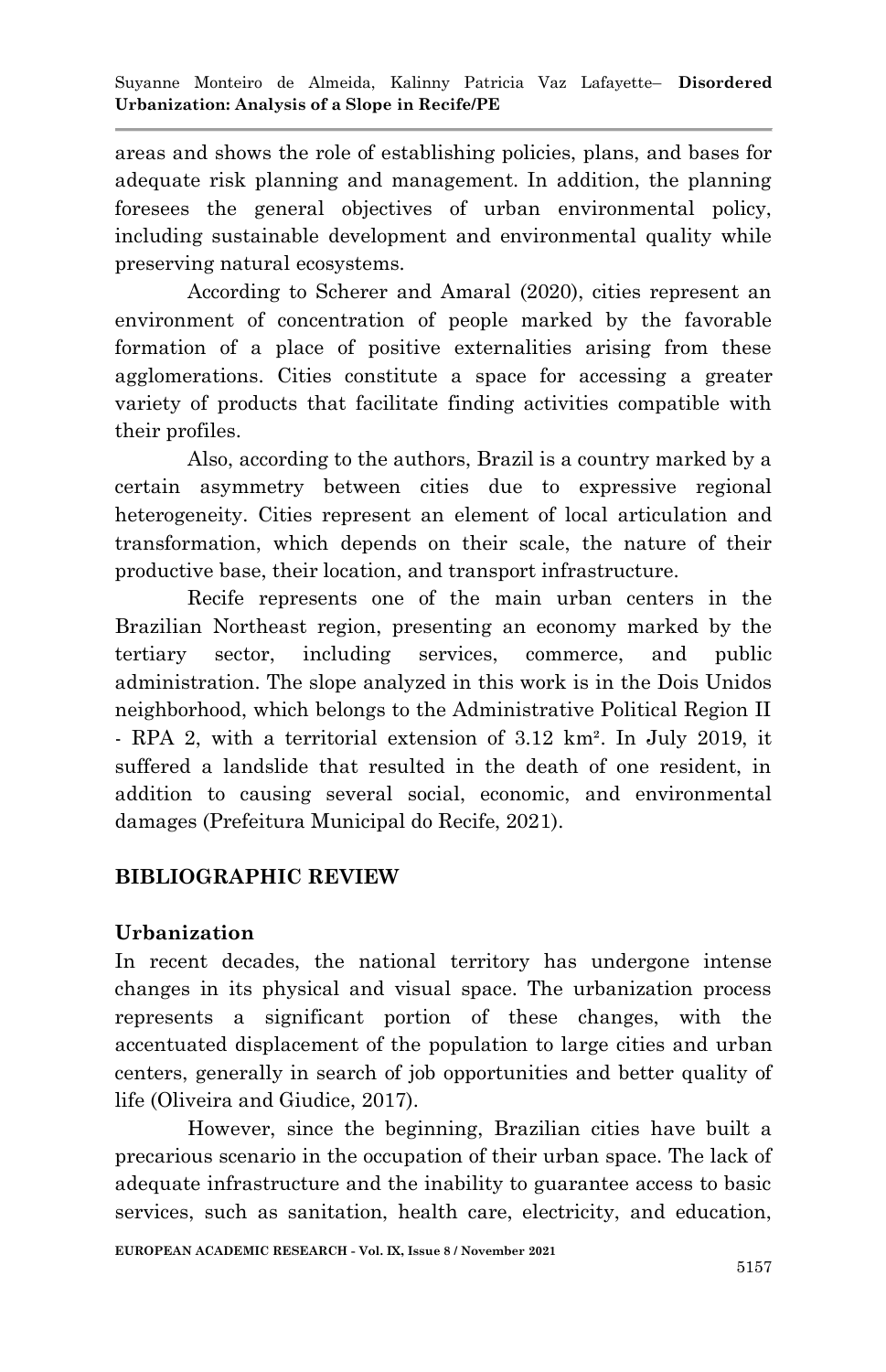areas and shows the role of establishing policies, plans, and bases for adequate risk planning and management. In addition, the planning foresees the general objectives of urban environmental policy, including sustainable development and environmental quality while preserving natural ecosystems.

According to Scherer and Amaral (2020), cities represent an environment of concentration of people marked by the favorable formation of a place of positive externalities arising from these agglomerations. Cities constitute a space for accessing a greater variety of products that facilitate finding activities compatible with their profiles.

Also, according to the authors, Brazil is a country marked by a certain asymmetry between cities due to expressive regional heterogeneity. Cities represent an element of local articulation and transformation, which depends on their scale, the nature of their productive base, their location, and transport infrastructure.

Recife represents one of the main urban centers in the Brazilian Northeast region, presenting an economy marked by the tertiary sector, including services, commerce, and public administration. The slope analyzed in this work is in the Dois Unidos neighborhood, which belongs to the Administrative Political Region II - RPA 2, with a territorial extension of 3.12 km². In July 2019, it suffered a landslide that resulted in the death of one resident, in addition to causing several social, economic, and environmental damages (Prefeitura Municipal do Recife, 2021).

# **BIBLIOGRAPHIC REVIEW**

### **Urbanization**

In recent decades, the national territory has undergone intense changes in its physical and visual space. The urbanization process represents a significant portion of these changes, with the accentuated displacement of the population to large cities and urban centers, generally in search of job opportunities and better quality of life (Oliveira and Giudice, 2017).

However, since the beginning, Brazilian cities have built a precarious scenario in the occupation of their urban space. The lack of adequate infrastructure and the inability to guarantee access to basic services, such as sanitation, health care, electricity, and education,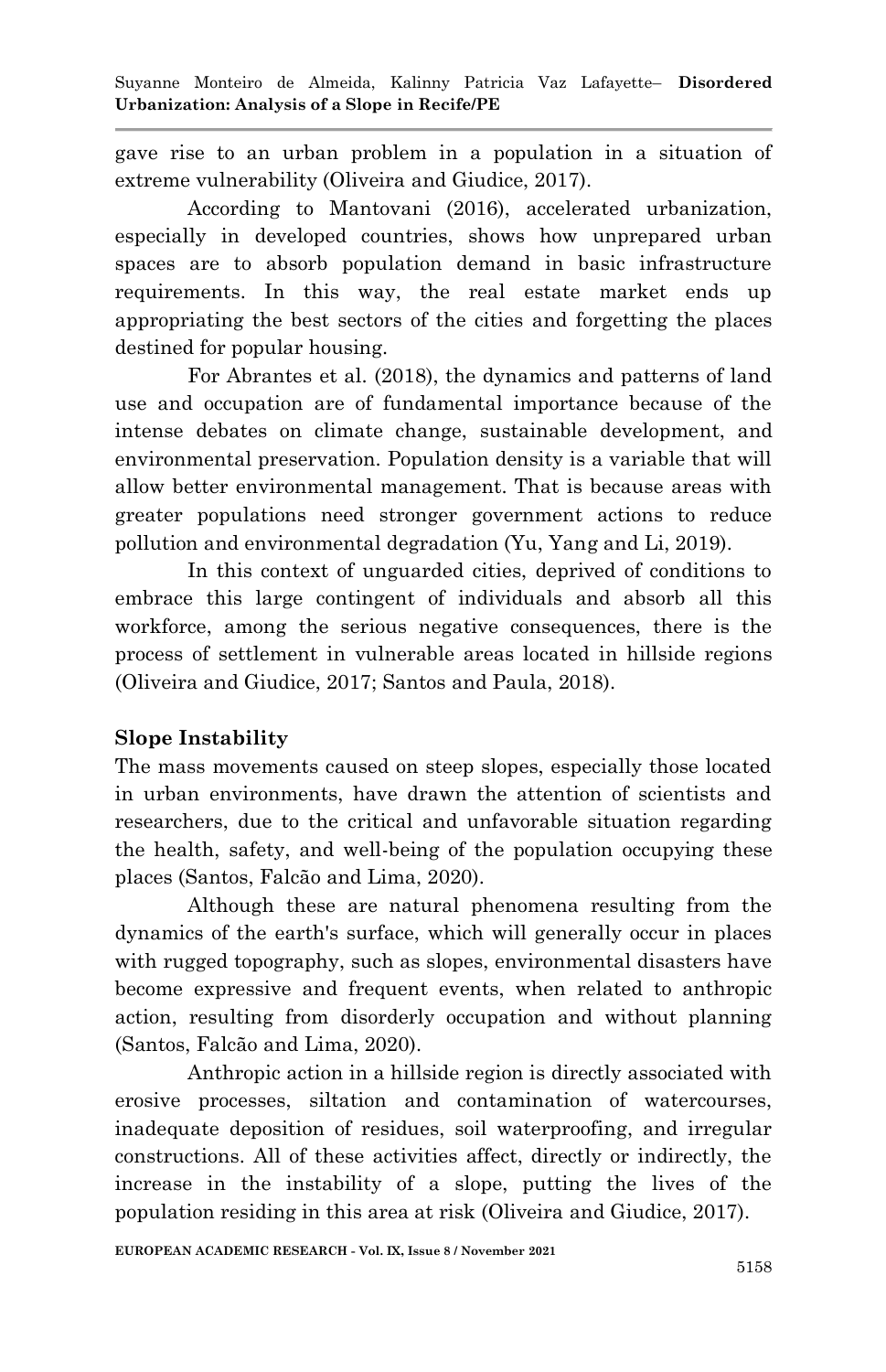gave rise to an urban problem in a population in a situation of extreme vulnerability (Oliveira and Giudice, 2017).

According to Mantovani (2016), accelerated urbanization, especially in developed countries, shows how unprepared urban spaces are to absorb population demand in basic infrastructure requirements. In this way, the real estate market ends up appropriating the best sectors of the cities and forgetting the places destined for popular housing.

For Abrantes et al. (2018), the dynamics and patterns of land use and occupation are of fundamental importance because of the intense debates on climate change, sustainable development, and environmental preservation. Population density is a variable that will allow better environmental management. That is because areas with greater populations need stronger government actions to reduce pollution and environmental degradation (Yu, Yang and Li, 2019).

In this context of unguarded cities, deprived of conditions to embrace this large contingent of individuals and absorb all this workforce, among the serious negative consequences, there is the process of settlement in vulnerable areas located in hillside regions (Oliveira and Giudice, 2017; Santos and Paula, 2018).

# **Slope Instability**

The mass movements caused on steep slopes, especially those located in urban environments, have drawn the attention of scientists and researchers, due to the critical and unfavorable situation regarding the health, safety, and well-being of the population occupying these places (Santos, Falcão and Lima, 2020).

Although these are natural phenomena resulting from the dynamics of the earth's surface, which will generally occur in places with rugged topography, such as slopes, environmental disasters have become expressive and frequent events, when related to anthropic action, resulting from disorderly occupation and without planning (Santos, Falcão and Lima, 2020).

Anthropic action in a hillside region is directly associated with erosive processes, siltation and contamination of watercourses, inadequate deposition of residues, soil waterproofing, and irregular constructions. All of these activities affect, directly or indirectly, the increase in the instability of a slope, putting the lives of the population residing in this area at risk (Oliveira and Giudice, 2017).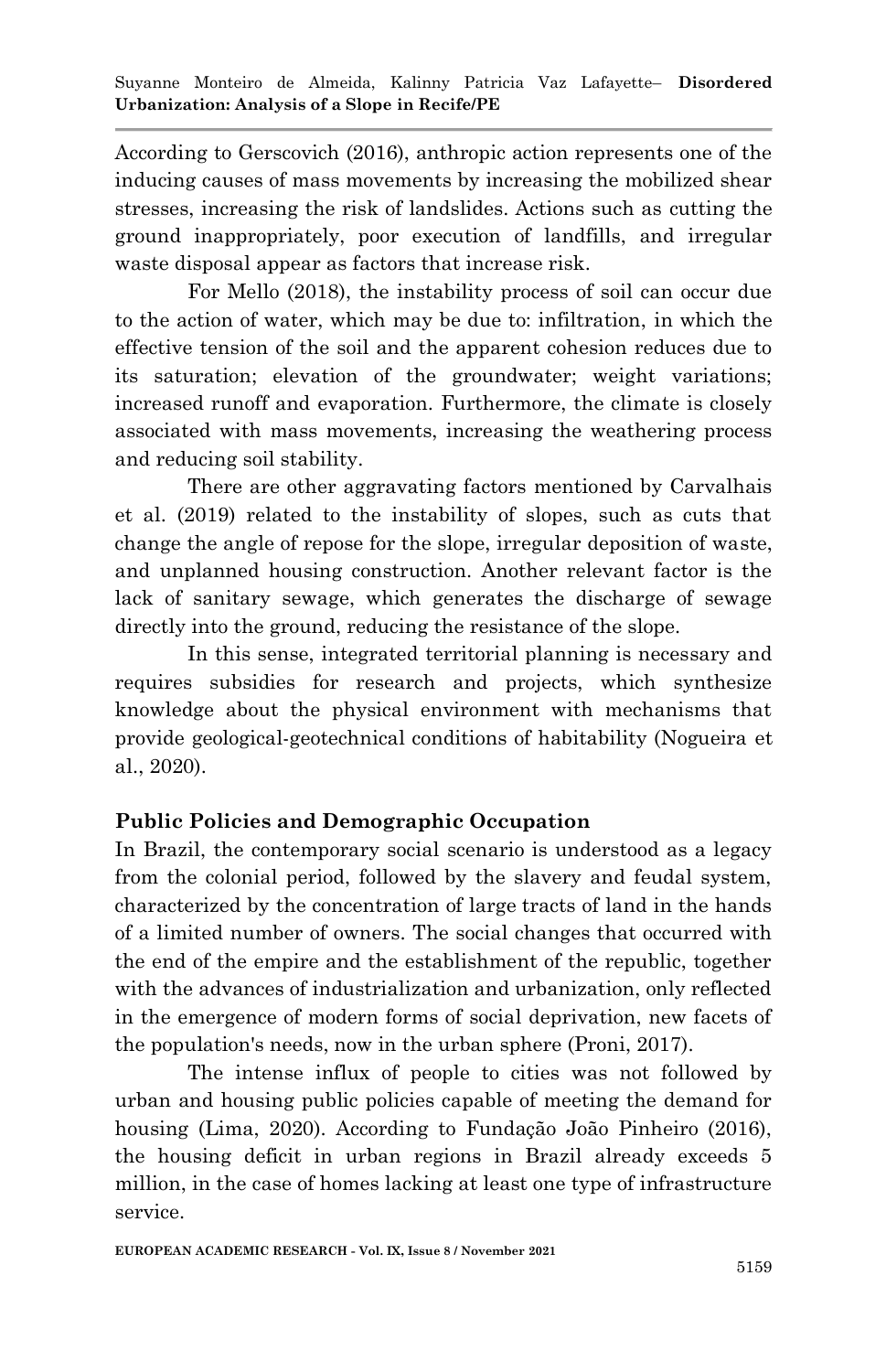According to Gerscovich (2016), anthropic action represents one of the inducing causes of mass movements by increasing the mobilized shear stresses, increasing the risk of landslides. Actions such as cutting the ground inappropriately, poor execution of landfills, and irregular waste disposal appear as factors that increase risk.

For Mello (2018), the instability process of soil can occur due to the action of water, which may be due to: infiltration, in which the effective tension of the soil and the apparent cohesion reduces due to its saturation; elevation of the groundwater; weight variations; increased runoff and evaporation. Furthermore, the climate is closely associated with mass movements, increasing the weathering process and reducing soil stability.

There are other aggravating factors mentioned by Carvalhais et al. (2019) related to the instability of slopes, such as cuts that change the angle of repose for the slope, irregular deposition of waste, and unplanned housing construction. Another relevant factor is the lack of sanitary sewage, which generates the discharge of sewage directly into the ground, reducing the resistance of the slope.

In this sense, integrated territorial planning is necessary and requires subsidies for research and projects, which synthesize knowledge about the physical environment with mechanisms that provide geological-geotechnical conditions of habitability (Nogueira et al., 2020).

# **Public Policies and Demographic Occupation**

In Brazil, the contemporary social scenario is understood as a legacy from the colonial period, followed by the slavery and feudal system, characterized by the concentration of large tracts of land in the hands of a limited number of owners. The social changes that occurred with the end of the empire and the establishment of the republic, together with the advances of industrialization and urbanization, only reflected in the emergence of modern forms of social deprivation, new facets of the population's needs, now in the urban sphere (Proni, 2017).

The intense influx of people to cities was not followed by urban and housing public policies capable of meeting the demand for housing (Lima, 2020). According to Fundação João Pinheiro (2016), the housing deficit in urban regions in Brazil already exceeds 5 million, in the case of homes lacking at least one type of infrastructure service.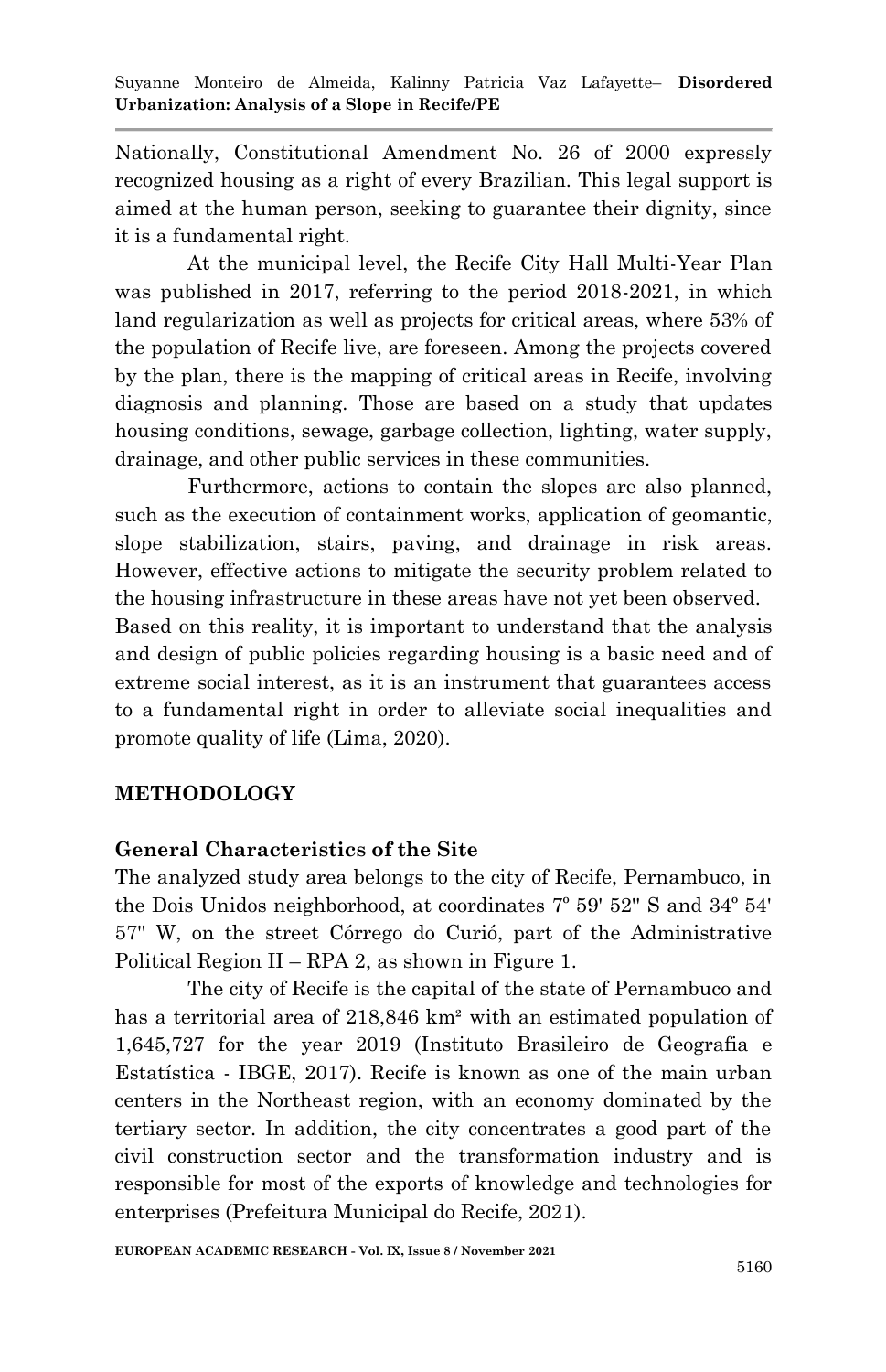Nationally, Constitutional Amendment No. 26 of 2000 expressly recognized housing as a right of every Brazilian. This legal support is aimed at the human person, seeking to guarantee their dignity, since it is a fundamental right.

At the municipal level, the Recife City Hall Multi-Year Plan was published in 2017, referring to the period 2018-2021, in which land regularization as well as projects for critical areas, where 53% of the population of Recife live, are foreseen. Among the projects covered by the plan, there is the mapping of critical areas in Recife, involving diagnosis and planning. Those are based on a study that updates housing conditions, sewage, garbage collection, lighting, water supply, drainage, and other public services in these communities.

Furthermore, actions to contain the slopes are also planned, such as the execution of containment works, application of geomantic, slope stabilization, stairs, paving, and drainage in risk areas. However, effective actions to mitigate the security problem related to the housing infrastructure in these areas have not yet been observed. Based on this reality, it is important to understand that the analysis and design of public policies regarding housing is a basic need and of extreme social interest, as it is an instrument that guarantees access to a fundamental right in order to alleviate social inequalities and promote quality of life (Lima, 2020).

### **METHODOLOGY**

#### **General Characteristics of the Site**

The analyzed study area belongs to the city of Recife, Pernambuco, in the Dois Unidos neighborhood, at coordinates 7º 59' 52'' S and 34º 54' 57'' W, on the street Córrego do Curió, part of the Administrative Political Region II – RPA 2, as shown in Figure 1.

The city of Recife is the capital of the state of Pernambuco and has a territorial area of 218,846 km<sup>2</sup> with an estimated population of 1,645,727 for the year 2019 (Instituto Brasileiro de Geografia e Estatística - IBGE, 2017). Recife is known as one of the main urban centers in the Northeast region, with an economy dominated by the tertiary sector. In addition, the city concentrates a good part of the civil construction sector and the transformation industry and is responsible for most of the exports of knowledge and technologies for enterprises (Prefeitura Municipal do Recife, 2021).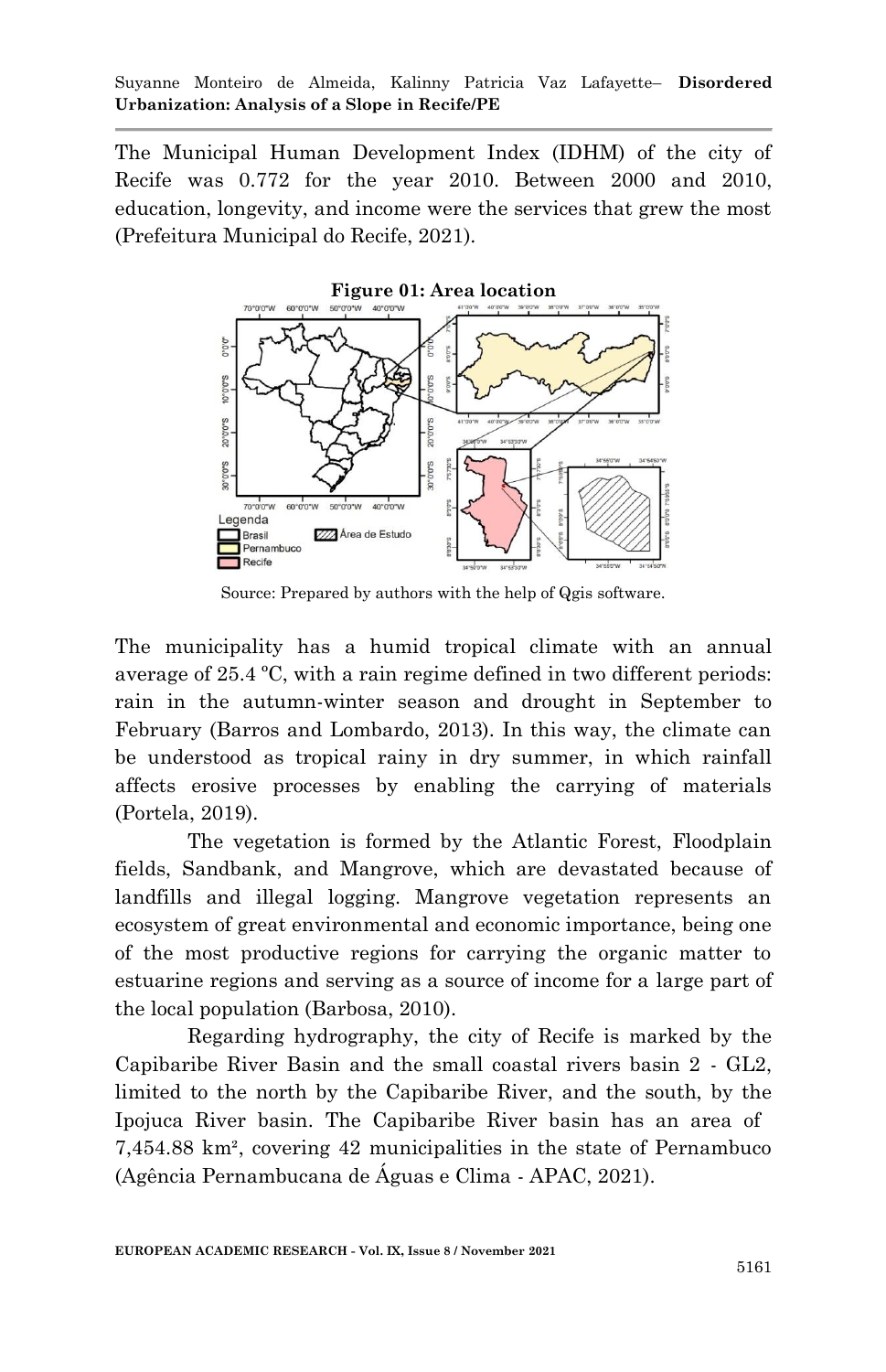The Municipal Human Development Index (IDHM) of the city of Recife was 0.772 for the year 2010. Between 2000 and 2010, education, longevity, and income were the services that grew the most (Prefeitura Municipal do Recife, 2021).



Source: Prepared by authors with the help of Qgis software.

The municipality has a humid tropical climate with an annual average of 25.4 ºC, with a rain regime defined in two different periods: rain in the autumn-winter season and drought in September to February (Barros and Lombardo, 2013). In this way, the climate can be understood as tropical rainy in dry summer, in which rainfall affects erosive processes by enabling the carrying of materials (Portela, 2019).

The vegetation is formed by the Atlantic Forest, Floodplain fields, Sandbank, and Mangrove, which are devastated because of landfills and illegal logging. Mangrove vegetation represents an ecosystem of great environmental and economic importance, being one of the most productive regions for carrying the organic matter to estuarine regions and serving as a source of income for a large part of the local population (Barbosa, 2010).

Regarding hydrography, the city of Recife is marked by the Capibaribe River Basin and the small coastal rivers basin 2 - GL2, limited to the north by the Capibaribe River, and the south, by the Ipojuca River basin. The Capibaribe River basin has an area of 7,454.88 km², covering 42 municipalities in the state of Pernambuco (Agência Pernambucana de Águas e Clima - APAC, 2021).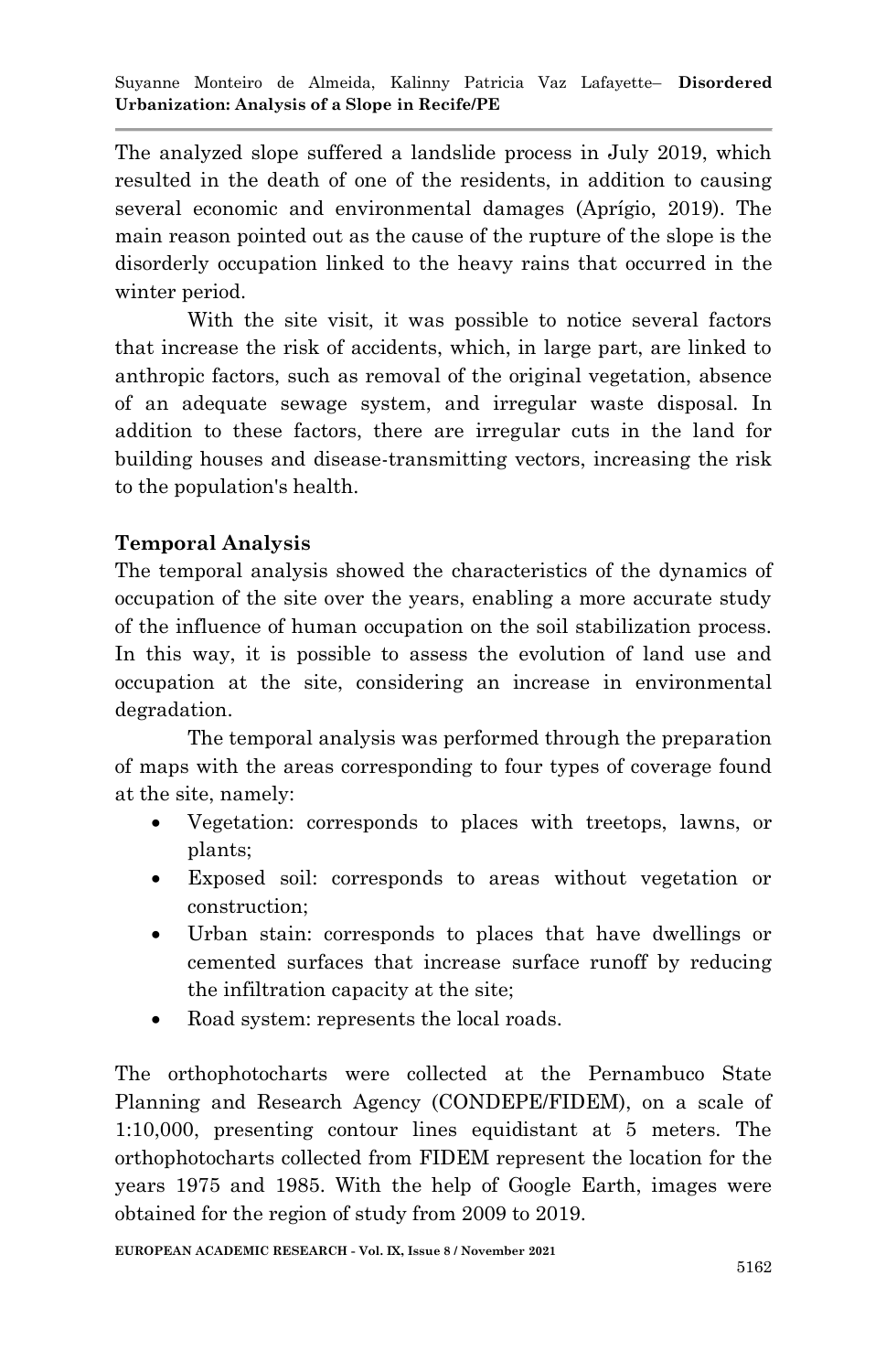The analyzed slope suffered a landslide process in July 2019, which resulted in the death of one of the residents, in addition to causing several economic and environmental damages (Aprígio, 2019). The main reason pointed out as the cause of the rupture of the slope is the disorderly occupation linked to the heavy rains that occurred in the winter period.

With the site visit, it was possible to notice several factors that increase the risk of accidents, which, in large part, are linked to anthropic factors, such as removal of the original vegetation, absence of an adequate sewage system, and irregular waste disposal. In addition to these factors, there are irregular cuts in the land for building houses and disease-transmitting vectors, increasing the risk to the population's health.

# **Temporal Analysis**

The temporal analysis showed the characteristics of the dynamics of occupation of the site over the years, enabling a more accurate study of the influence of human occupation on the soil stabilization process. In this way, it is possible to assess the evolution of land use and occupation at the site, considering an increase in environmental degradation.

The temporal analysis was performed through the preparation of maps with the areas corresponding to four types of coverage found at the site, namely:

- Vegetation: corresponds to places with treetops, lawns, or plants;
- Exposed soil: corresponds to areas without vegetation or construction;
- Urban stain: corresponds to places that have dwellings or cemented surfaces that increase surface runoff by reducing the infiltration capacity at the site;
- Road system: represents the local roads.

The orthophotocharts were collected at the Pernambuco State Planning and Research Agency (CONDEPE/FIDEM), on a scale of 1:10,000, presenting contour lines equidistant at 5 meters. The orthophotocharts collected from FIDEM represent the location for the years 1975 and 1985. With the help of Google Earth, images were obtained for the region of study from 2009 to 2019.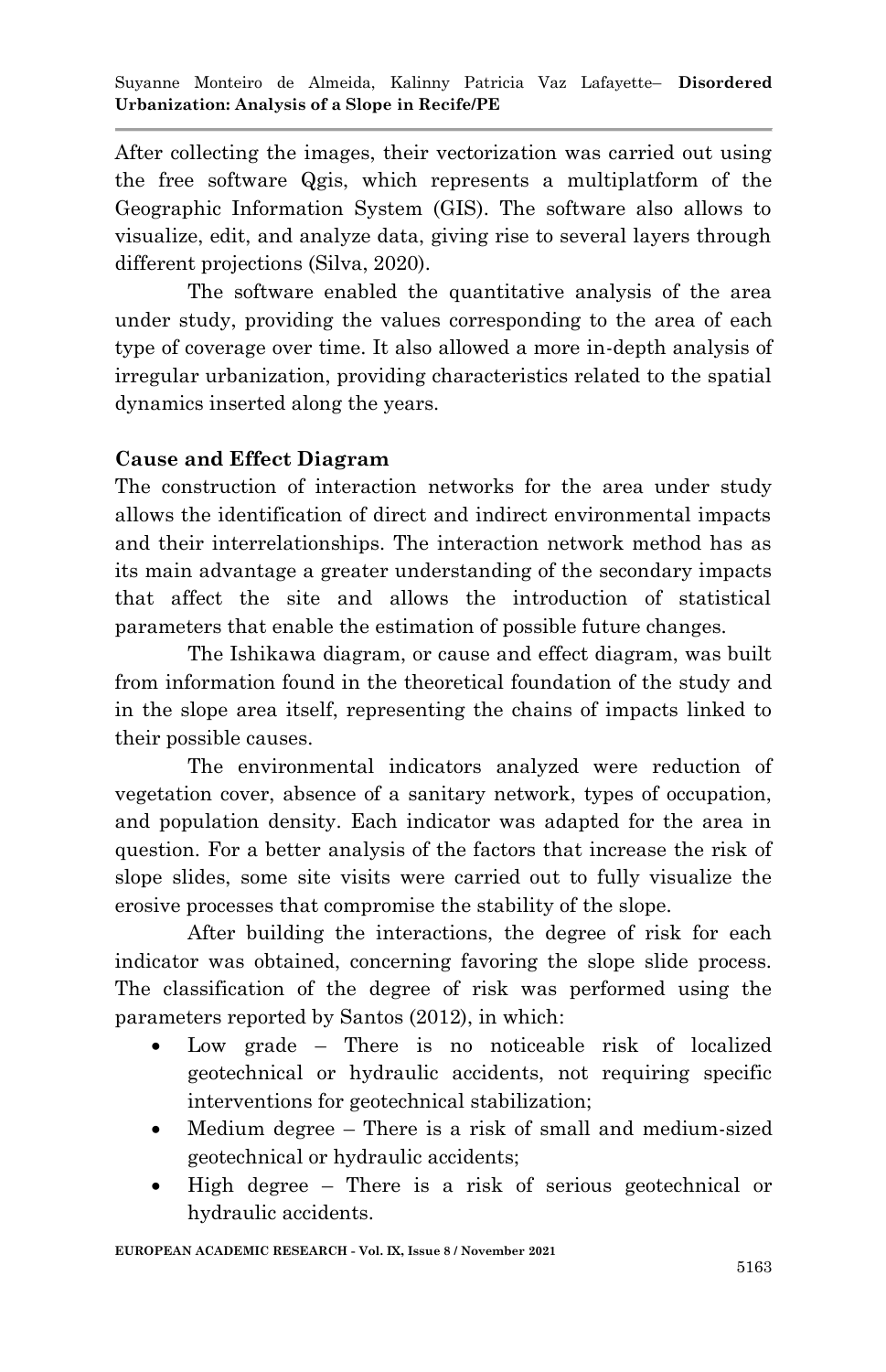After collecting the images, their vectorization was carried out using the free software Qgis, which represents a multiplatform of the Geographic Information System (GIS). The software also allows to visualize, edit, and analyze data, giving rise to several layers through different projections (Silva, 2020).

The software enabled the quantitative analysis of the area under study, providing the values corresponding to the area of each type of coverage over time. It also allowed a more in-depth analysis of irregular urbanization, providing characteristics related to the spatial dynamics inserted along the years.

# **Cause and Effect Diagram**

The construction of interaction networks for the area under study allows the identification of direct and indirect environmental impacts and their interrelationships. The interaction network method has as its main advantage a greater understanding of the secondary impacts that affect the site and allows the introduction of statistical parameters that enable the estimation of possible future changes.

The Ishikawa diagram, or cause and effect diagram, was built from information found in the theoretical foundation of the study and in the slope area itself, representing the chains of impacts linked to their possible causes.

 The environmental indicators analyzed were reduction of vegetation cover, absence of a sanitary network, types of occupation, and population density. Each indicator was adapted for the area in question. For a better analysis of the factors that increase the risk of slope slides, some site visits were carried out to fully visualize the erosive processes that compromise the stability of the slope.

 After building the interactions, the degree of risk for each indicator was obtained, concerning favoring the slope slide process. The classification of the degree of risk was performed using the parameters reported by Santos (2012), in which:

- Low grade There is no noticeable risk of localized geotechnical or hydraulic accidents, not requiring specific interventions for geotechnical stabilization;
- Medium degree There is a risk of small and medium-sized geotechnical or hydraulic accidents;
- High degree There is a risk of serious geotechnical or hydraulic accidents.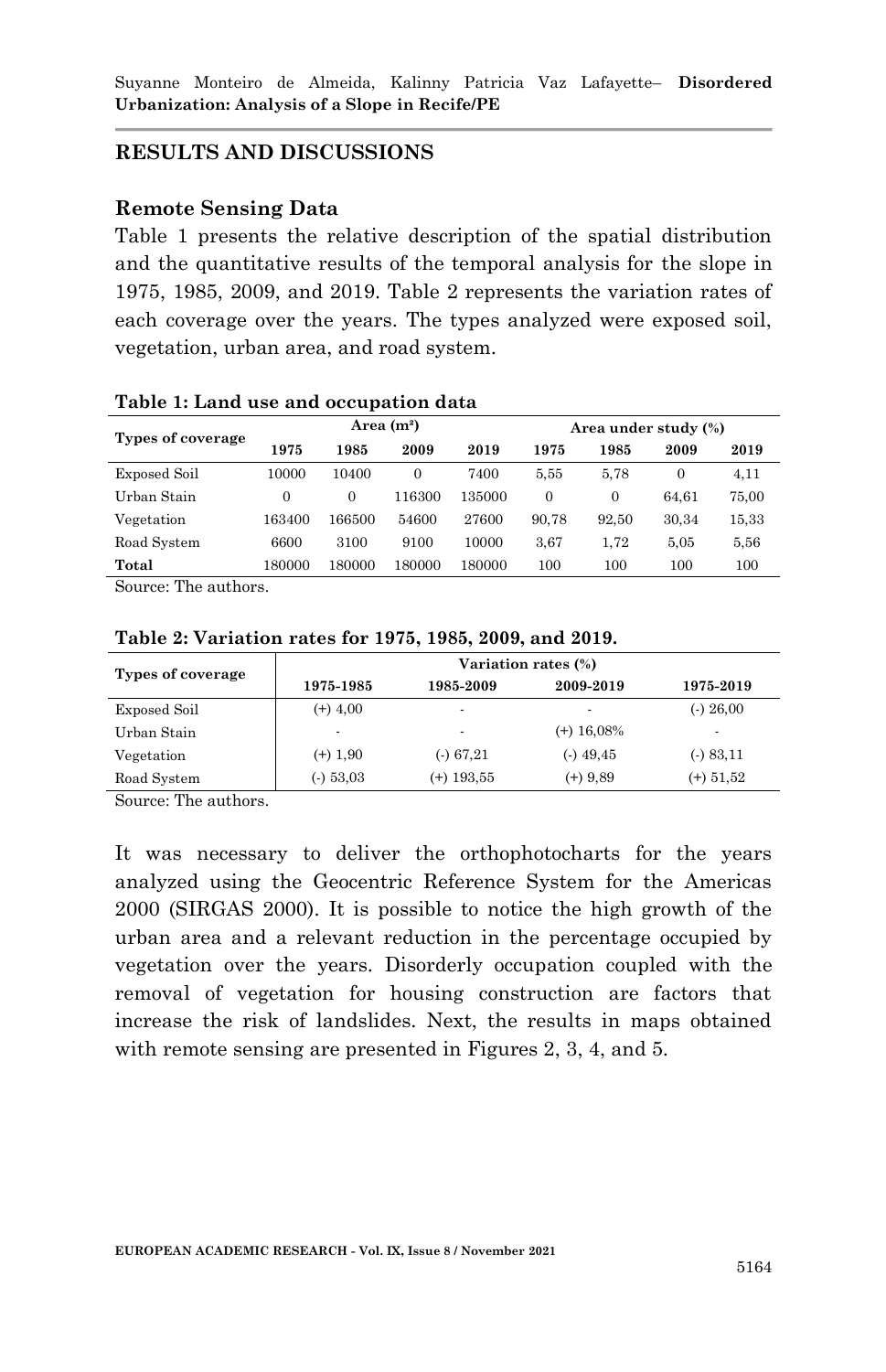#### **RESULTS AND DISCUSSIONS**

#### **Remote Sensing Data**

Table 1 presents the relative description of the spatial distribution and the quantitative results of the temporal analysis for the slope in 1975, 1985, 2009, and 2019. Table 2 represents the variation rates of each coverage over the years. The types analyzed were exposed soil, vegetation, urban area, and road system.

| Types of coverage | Area $(m^2)$ |          |                |        | Area under study (%) |       |          |       |
|-------------------|--------------|----------|----------------|--------|----------------------|-------|----------|-------|
|                   | 1975         | 1985     | 2009           | 2019   | 1975                 | 1985  | 2009     | 2019  |
| Exposed Soil      | 10000        | 10400    | $\overline{0}$ | 7400   | 5.55                 | 5.78  | $\Omega$ | 4.11  |
| Urban Stain       | $\Omega$     | $\Omega$ | 116300         | 135000 | $\Omega$             | 0     | 64.61    | 75,00 |
| Vegetation        | 163400       | 166500   | 54600          | 27600  | 90.78                | 92.50 | 30,34    | 15,33 |
| Road System       | 6600         | 3100     | 9100           | 10000  | 3.67                 | 1.72  | 5.05     | 5,56  |
| Total             | 180000       | 180000   | 180000         | 180000 | 100                  | 100   | 100      | 100   |

**Table 1: Land use and occupation data**

Source: The authors.

| Types of coverage | Variation rates (%)      |                          |                          |                          |  |  |  |  |
|-------------------|--------------------------|--------------------------|--------------------------|--------------------------|--|--|--|--|
|                   | 1975-1985                | 1985-2009                | 2009-2019                | 1975-2019                |  |  |  |  |
| Exposed Soil      | $(+)$ 4,00               | $\overline{\phantom{a}}$ | $\overline{\phantom{0}}$ | $($ - $)$ 26,00          |  |  |  |  |
| Urban Stain       | $\overline{\phantom{0}}$ | ٠                        | $(+)$ 16,08%             | $\overline{\phantom{a}}$ |  |  |  |  |
| Vegetation        | $(+)$ 1,90               | $( - ) 67,21$            | $($ - $)$ 49,45          | $(-) 83,11$              |  |  |  |  |
| Road System       | $(-)$ 53,03              | $(+)$ 193,55             | $(+)$ 9.89               | $(+) 51.52$              |  |  |  |  |

#### **Table 2: Variation rates for 1975, 1985, 2009, and 2019.**

Source: The authors.

It was necessary to deliver the orthophotocharts for the years analyzed using the Geocentric Reference System for the Americas 2000 (SIRGAS 2000). It is possible to notice the high growth of the urban area and a relevant reduction in the percentage occupied by vegetation over the years. Disorderly occupation coupled with the removal of vegetation for housing construction are factors that increase the risk of landslides. Next, the results in maps obtained with remote sensing are presented in Figures 2, 3, 4, and 5.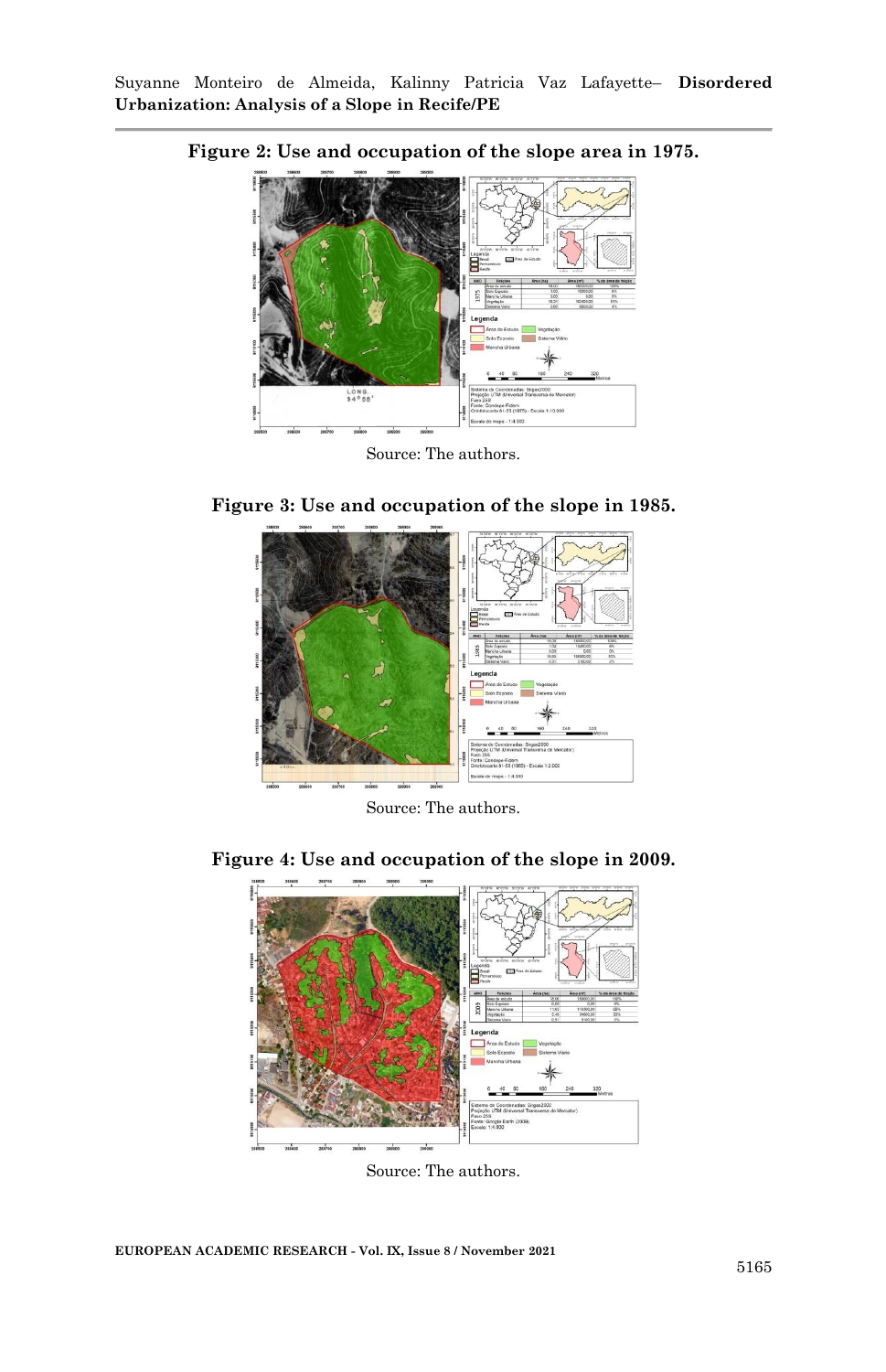

**Figure 2: Use and occupation of the slope area in 1975.**

**Figure 3: Use and occupation of the slope in 1985.**



Source: The authors.

**Figure 4: Use and occupation of the slope in 2009.**



Source: The authors.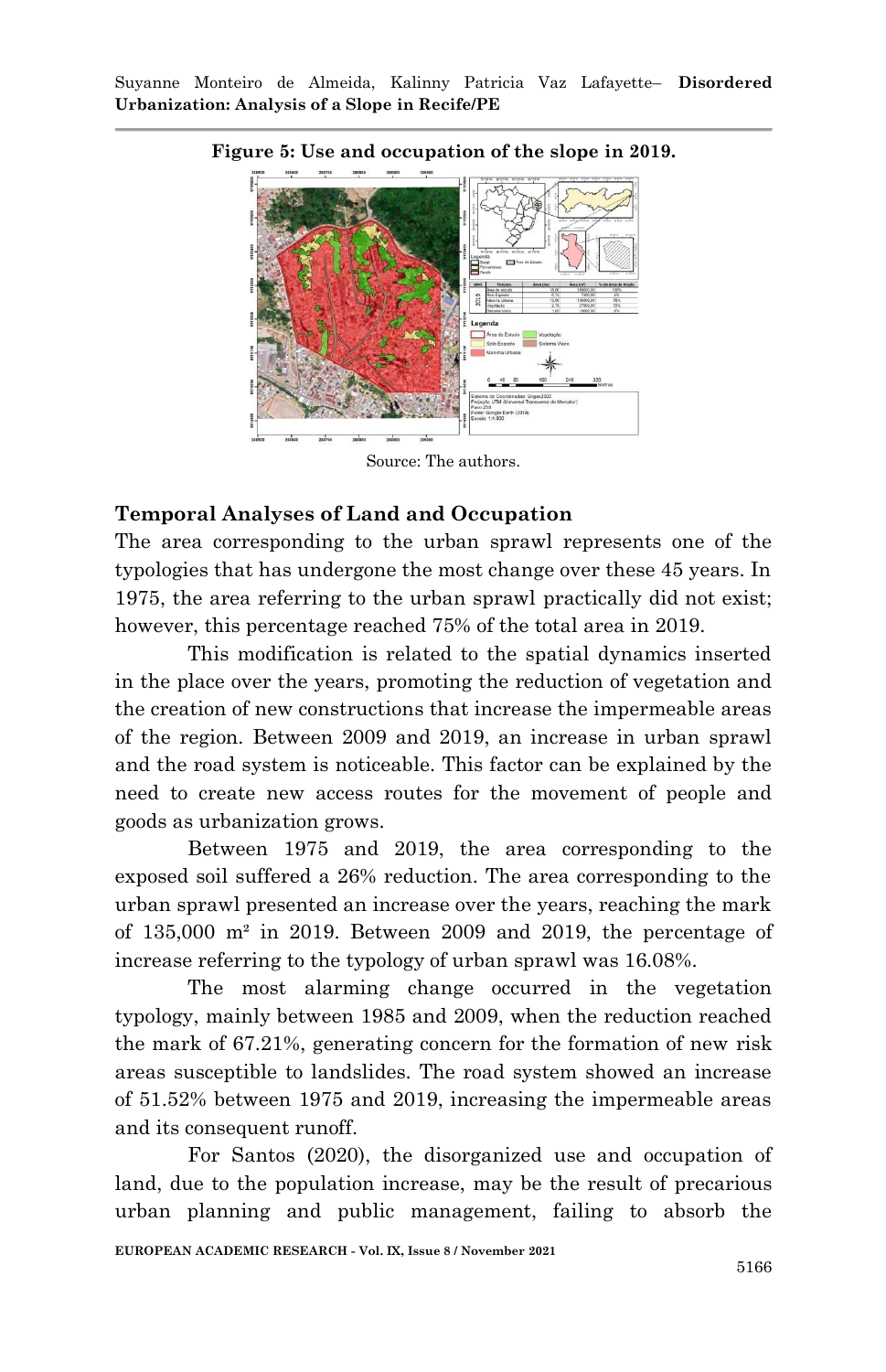

#### **Figure 5: Use and occupation of the slope in 2019.**

Source: The authors.

#### **Temporal Analyses of Land and Occupation**

The area corresponding to the urban sprawl represents one of the typologies that has undergone the most change over these 45 years. In 1975, the area referring to the urban sprawl practically did not exist; however, this percentage reached 75% of the total area in 2019.

This modification is related to the spatial dynamics inserted in the place over the years, promoting the reduction of vegetation and the creation of new constructions that increase the impermeable areas of the region. Between 2009 and 2019, an increase in urban sprawl and the road system is noticeable. This factor can be explained by the need to create new access routes for the movement of people and goods as urbanization grows.

Between 1975 and 2019, the area corresponding to the exposed soil suffered a 26% reduction. The area corresponding to the urban sprawl presented an increase over the years, reaching the mark of 135,000 m² in 2019. Between 2009 and 2019, the percentage of increase referring to the typology of urban sprawl was 16.08%.

The most alarming change occurred in the vegetation typology, mainly between 1985 and 2009, when the reduction reached the mark of 67.21%, generating concern for the formation of new risk areas susceptible to landslides. The road system showed an increase of 51.52% between 1975 and 2019, increasing the impermeable areas and its consequent runoff.

For Santos (2020), the disorganized use and occupation of land, due to the population increase, may be the result of precarious urban planning and public management, failing to absorb the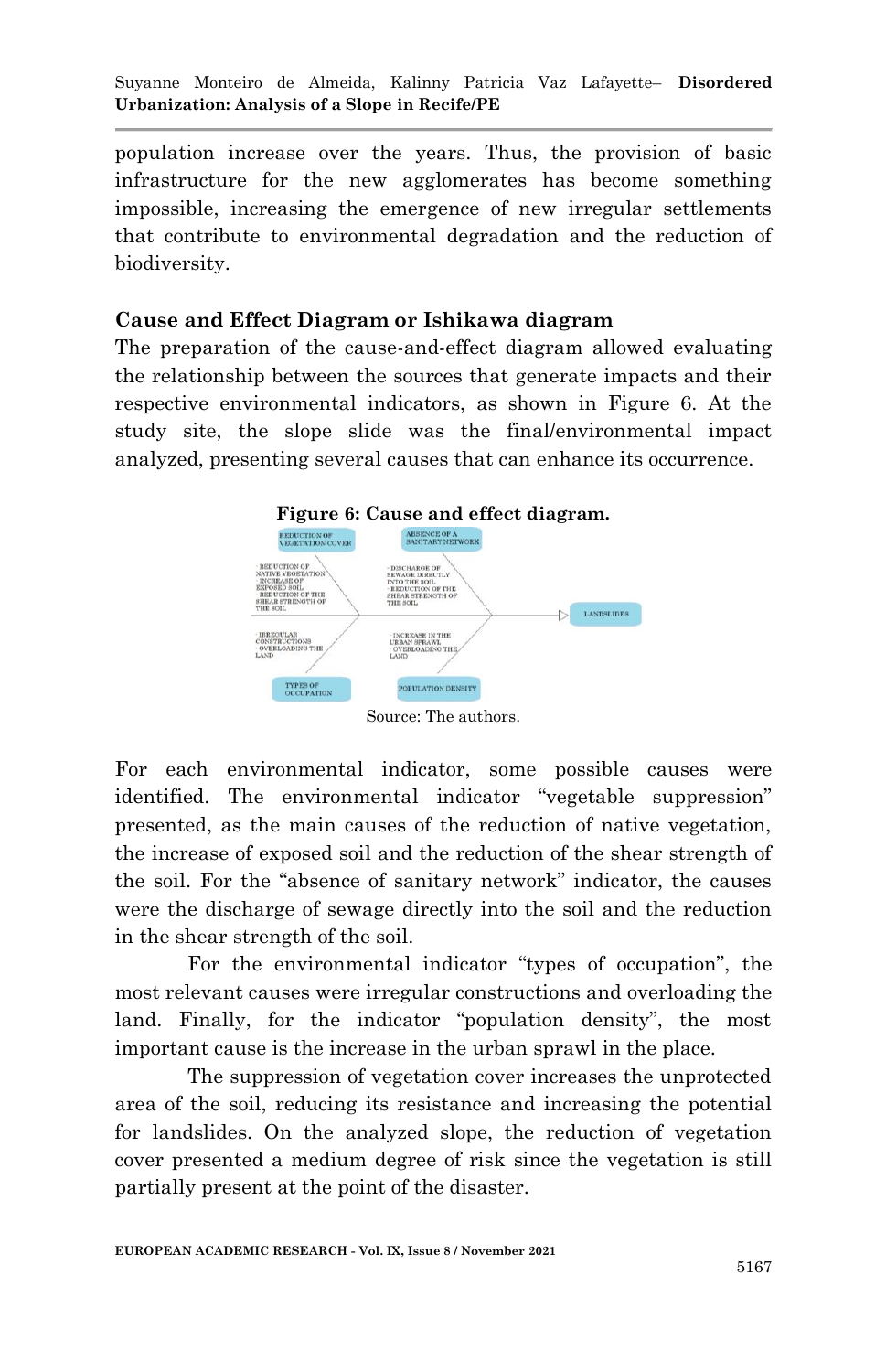Suyanne Monteiro de Almeida, Kalinny Patricia Vaz Lafayette– **Disordered Urbanization: Analysis of a Slope in Recife/PE**

population increase over the years. Thus, the provision of basic infrastructure for the new agglomerates has become something impossible, increasing the emergence of new irregular settlements that contribute to environmental degradation and the reduction of biodiversity.

#### **Cause and Effect Diagram or Ishikawa diagram**

The preparation of the cause-and-effect diagram allowed evaluating the relationship between the sources that generate impacts and their respective environmental indicators, as shown in Figure 6. At the study site, the slope slide was the final/environmental impact analyzed, presenting several causes that can enhance its occurrence.



Source: The authors.

For each environmental indicator, some possible causes were identified. The environmental indicator "vegetable suppression" presented, as the main causes of the reduction of native vegetation, the increase of exposed soil and the reduction of the shear strength of the soil. For the "absence of sanitary network" indicator, the causes were the discharge of sewage directly into the soil and the reduction in the shear strength of the soil.

For the environmental indicator "types of occupation", the most relevant causes were irregular constructions and overloading the land. Finally, for the indicator "population density", the most important cause is the increase in the urban sprawl in the place.

The suppression of vegetation cover increases the unprotected area of the soil, reducing its resistance and increasing the potential for landslides. On the analyzed slope, the reduction of vegetation cover presented a medium degree of risk since the vegetation is still partially present at the point of the disaster.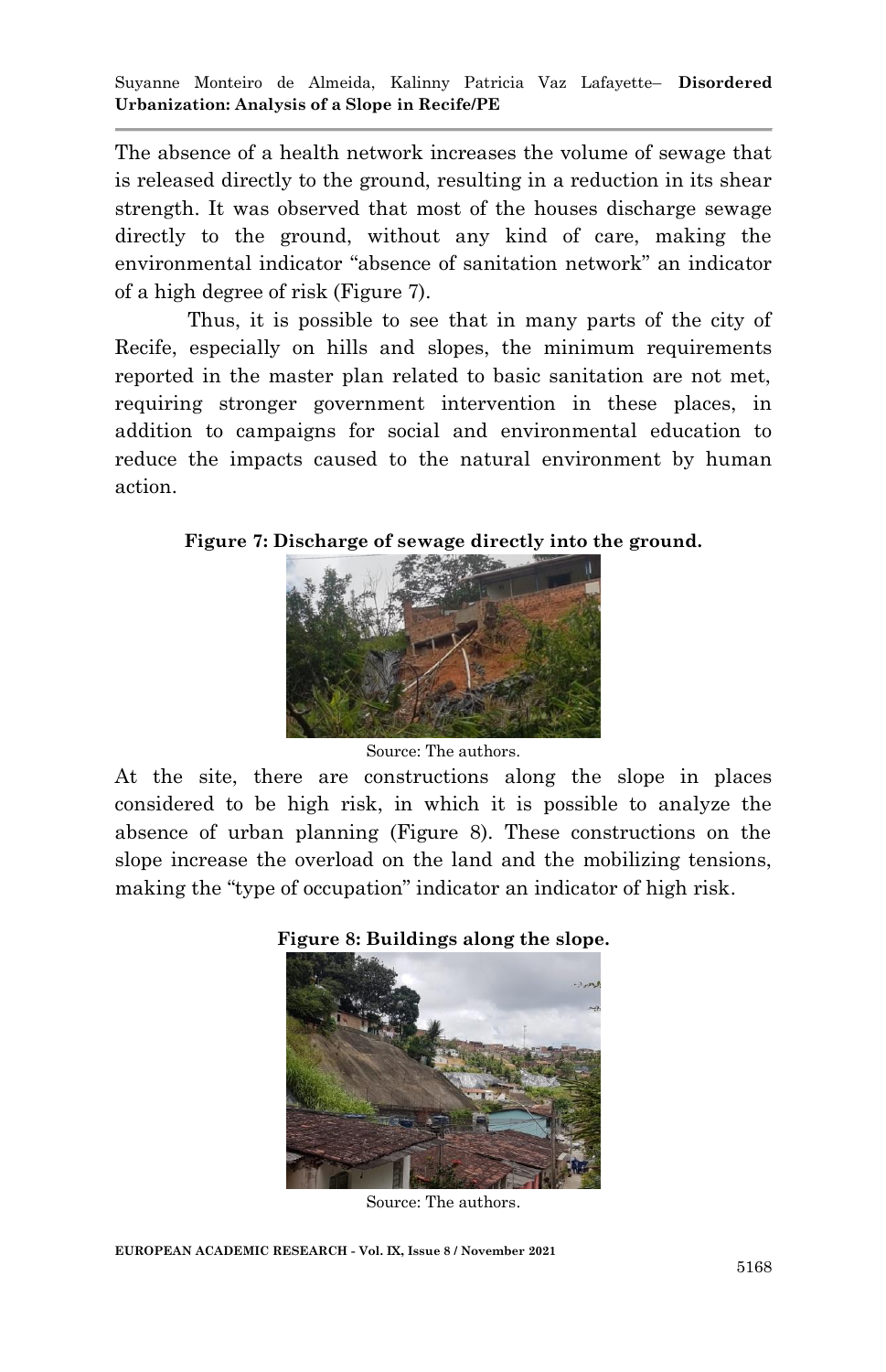Suyanne Monteiro de Almeida, Kalinny Patricia Vaz Lafayette– **Disordered Urbanization: Analysis of a Slope in Recife/PE**

The absence of a health network increases the volume of sewage that is released directly to the ground, resulting in a reduction in its shear strength. It was observed that most of the houses discharge sewage directly to the ground, without any kind of care, making the environmental indicator "absence of sanitation network" an indicator of a high degree of risk (Figure 7).

Thus, it is possible to see that in many parts of the city of Recife, especially on hills and slopes, the minimum requirements reported in the master plan related to basic sanitation are not met, requiring stronger government intervention in these places, in addition to campaigns for social and environmental education to reduce the impacts caused to the natural environment by human action.

**Figure 7: Discharge of sewage directly into the ground.**



Source: The authors.

At the site, there are constructions along the slope in places considered to be high risk, in which it is possible to analyze the absence of urban planning (Figure 8). These constructions on the slope increase the overload on the land and the mobilizing tensions, making the "type of occupation" indicator an indicator of high risk.





Source: The authors.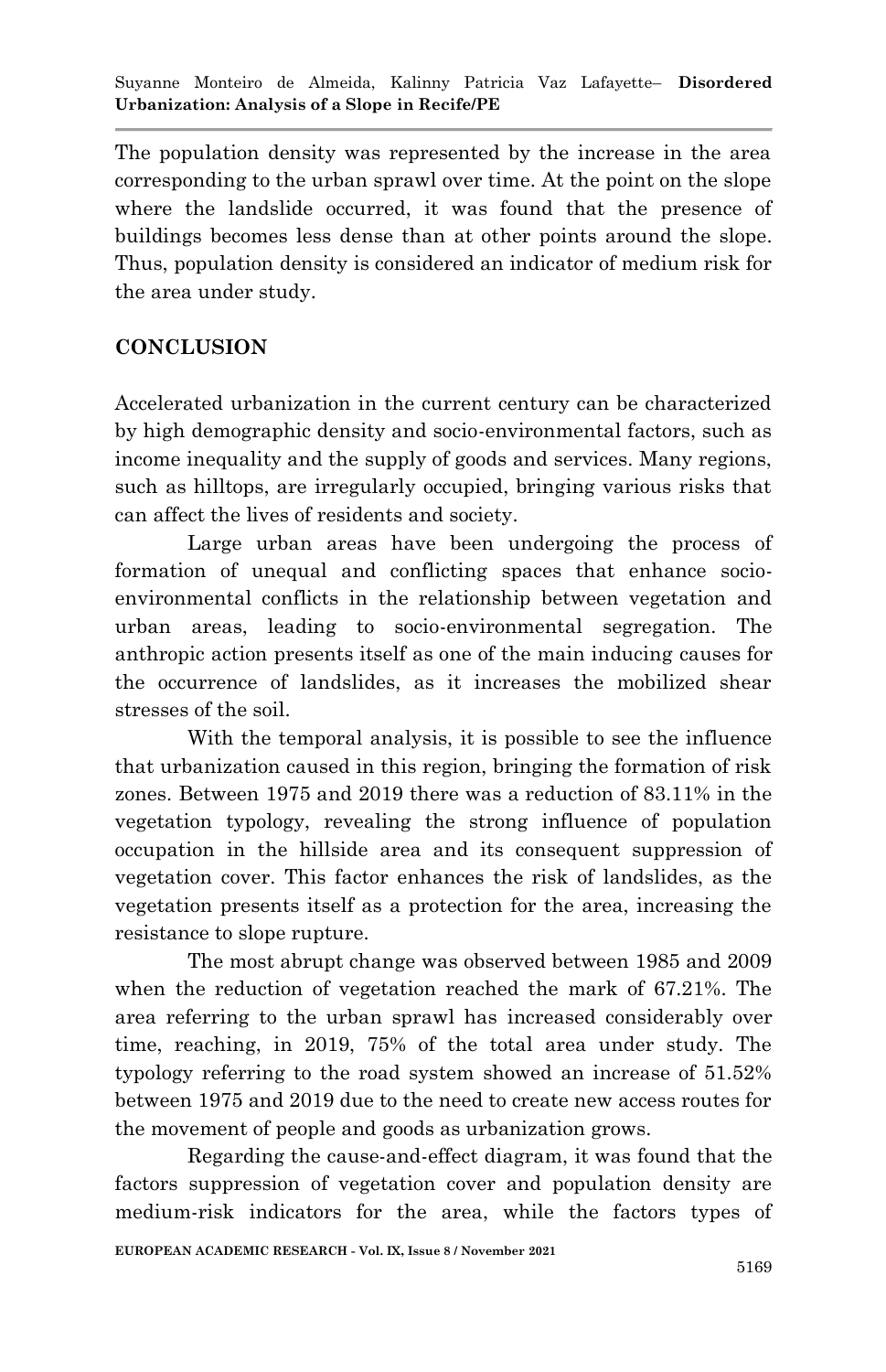The population density was represented by the increase in the area corresponding to the urban sprawl over time. At the point on the slope where the landslide occurred, it was found that the presence of buildings becomes less dense than at other points around the slope. Thus, population density is considered an indicator of medium risk for the area under study.

# **CONCLUSION**

Accelerated urbanization in the current century can be characterized by high demographic density and socio-environmental factors, such as income inequality and the supply of goods and services. Many regions, such as hilltops, are irregularly occupied, bringing various risks that can affect the lives of residents and society.

Large urban areas have been undergoing the process of formation of unequal and conflicting spaces that enhance socioenvironmental conflicts in the relationship between vegetation and urban areas, leading to socio-environmental segregation. The anthropic action presents itself as one of the main inducing causes for the occurrence of landslides, as it increases the mobilized shear stresses of the soil.

With the temporal analysis, it is possible to see the influence that urbanization caused in this region, bringing the formation of risk zones. Between 1975 and 2019 there was a reduction of 83.11% in the vegetation typology, revealing the strong influence of population occupation in the hillside area and its consequent suppression of vegetation cover. This factor enhances the risk of landslides, as the vegetation presents itself as a protection for the area, increasing the resistance to slope rupture.

The most abrupt change was observed between 1985 and 2009 when the reduction of vegetation reached the mark of 67.21%. The area referring to the urban sprawl has increased considerably over time, reaching, in 2019, 75% of the total area under study. The typology referring to the road system showed an increase of 51.52% between 1975 and 2019 due to the need to create new access routes for the movement of people and goods as urbanization grows.

Regarding the cause-and-effect diagram, it was found that the factors suppression of vegetation cover and population density are medium-risk indicators for the area, while the factors types of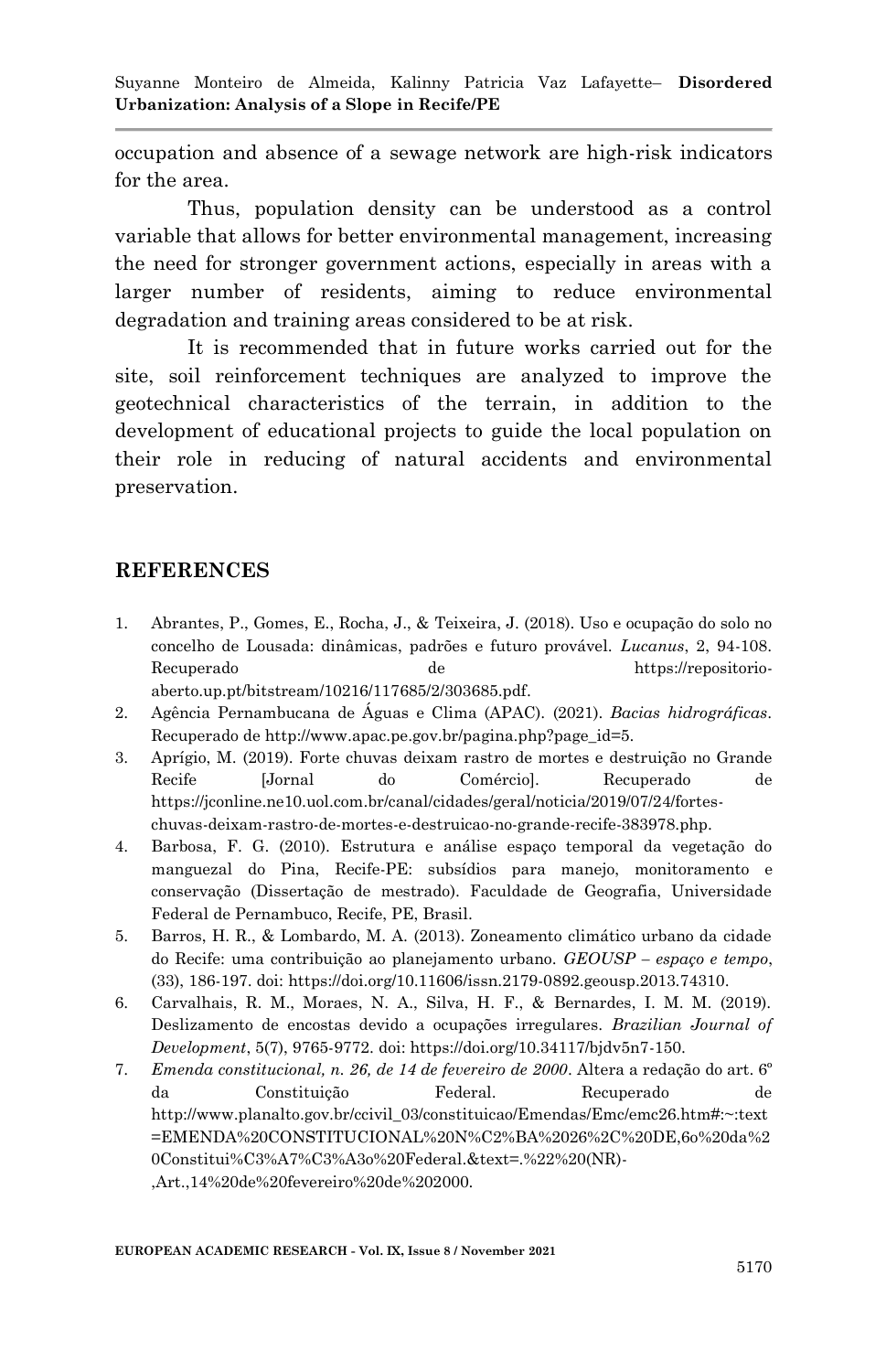Suyanne Monteiro de Almeida, Kalinny Patricia Vaz Lafayette– **Disordered Urbanization: Analysis of a Slope in Recife/PE**

occupation and absence of a sewage network are high-risk indicators for the area.

Thus, population density can be understood as a control variable that allows for better environmental management, increasing the need for stronger government actions, especially in areas with a larger number of residents, aiming to reduce environmental degradation and training areas considered to be at risk.

It is recommended that in future works carried out for the site, soil reinforcement techniques are analyzed to improve the geotechnical characteristics of the terrain, in addition to the development of educational projects to guide the local population on their role in reducing of natural accidents and environmental preservation.

#### **REFERENCES**

- 1. Abrantes, P., Gomes, E., Rocha, J., & Teixeira, J. (2018). Uso e ocupação do solo no concelho de Lousada: dinâmicas, padrões e futuro provável. *Lucanus*, 2, 94-108. Recuperado de https://repositorioaberto.up.pt/bitstream/10216/117685/2/303685.pdf.
- 2. Agência Pernambucana de Águas e Clima (APAC). (2021). *Bacias hidrográficas*. Recuperado de http://www.apac.pe.gov.br/pagina.php?page\_id=5.
- 3. Aprígio, M. (2019). Forte chuvas deixam rastro de mortes e destruição no Grande Recife [Jornal do Comércio]. Recuperado de https://jconline.ne10.uol.com.br/canal/cidades/geral/noticia/2019/07/24/forteschuvas-deixam-rastro-de-mortes-e-destruicao-no-grande-recife-383978.php.
- 4. Barbosa, F. G. (2010). Estrutura e análise espaço temporal da vegetação do manguezal do Pina, Recife-PE: subsídios para manejo, monitoramento e conservação (Dissertação de mestrado). Faculdade de Geografia, Universidade Federal de Pernambuco, Recife, PE, Brasil.
- 5. Barros, H. R., & Lombardo, M. A. (2013). Zoneamento climático urbano da cidade do Recife: uma contribuição ao planejamento urbano. *GEOUSP – espaço e tempo*, (33), 186-197. doi: https://doi.org/10.11606/issn.2179-0892.geousp.2013.74310.
- 6. Carvalhais, R. M., Moraes, N. A., Silva, H. F., & Bernardes, I. M. M. (2019). Deslizamento de encostas devido a ocupações irregulares. *Brazilian Journal of Development*, 5(7), 9765-9772. doi: https://doi.org/10.34117/bjdv5n7-150.
- 7. *Emenda constitucional, n. 26, de 14 de fevereiro de 2000*. Altera a redação do art. 6º da Constituição Federal. Recuperado de http://www.planalto.gov.br/ccivil\_03/constituicao/Emendas/Emc/emc26.htm#:~:text =EMENDA%20CONSTITUCIONAL%20N%C2%BA%2026%2C%20DE,6o%20da%2 0Constitui%C3%A7%C3%A3o%20Federal.&text=.%22%20(NR)- ,Art.,14%20de%20fevereiro%20de%202000.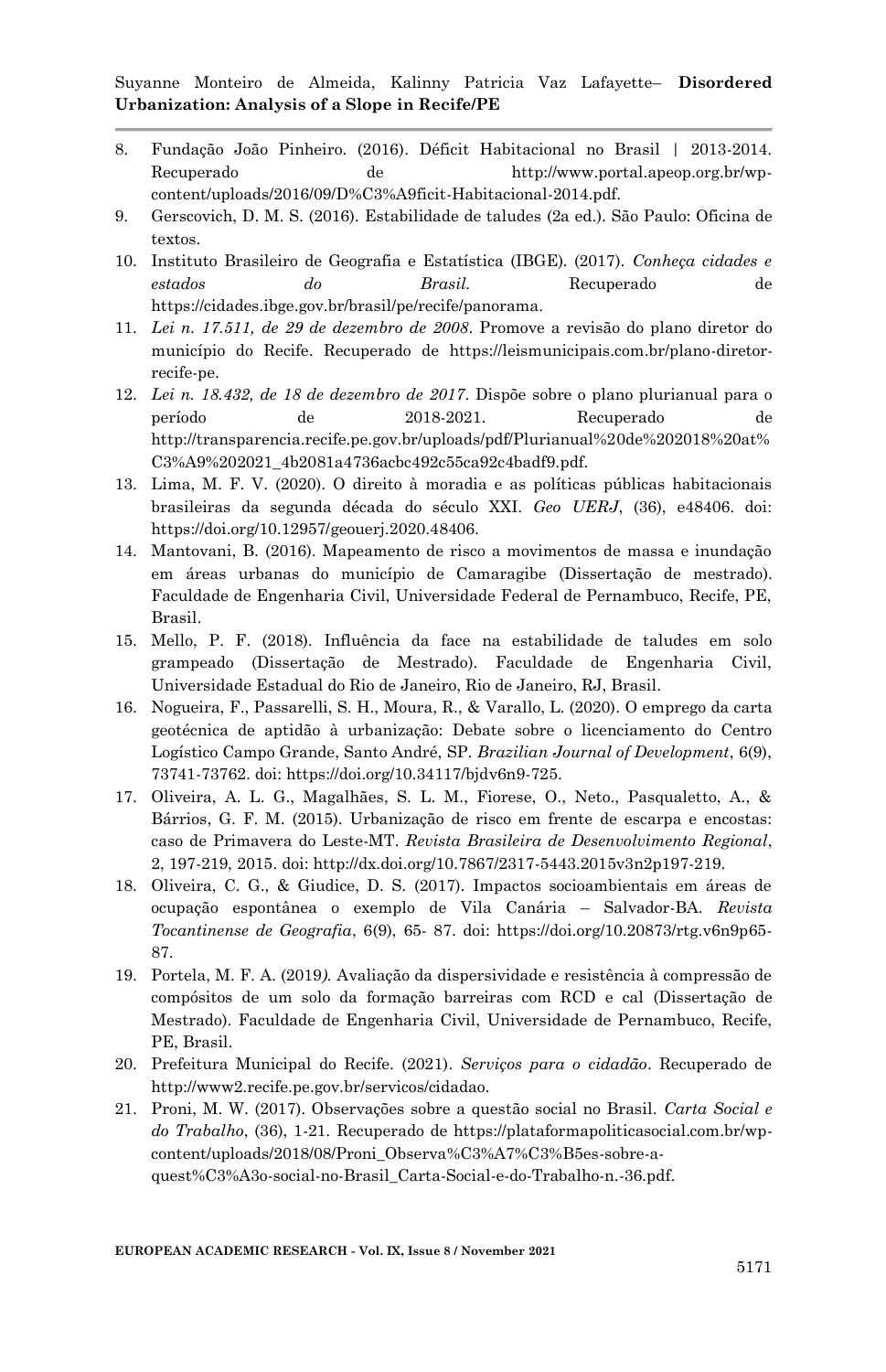- 8. Fundação João Pinheiro. (2016). Déficit Habitacional no Brasil | 2013-2014. Recuperado de http://www.portal.apeop.org.br/wpcontent/uploads/2016/09/D%C3%A9ficit-Habitacional-2014.pdf.
- 9. Gerscovich, D. M. S. (2016). Estabilidade de taludes (2a ed.). São Paulo: Oficina de textos.
- 10. Instituto Brasileiro de Geografia e Estatística (IBGE). (2017). *Conheça cidades e estados do Brasil.* Recuperado de https://cidades.ibge.gov.br/brasil/pe/recife/panorama.
- 11. *Lei n. 17.511, de 29 de dezembro de 2008*. Promove a revisão do plano diretor do município do Recife. Recuperado de https://leismunicipais.com.br/plano-diretorrecife-pe.
- 12. *Lei n. 18.432, de 18 de dezembro de 2017*. Dispõe sobre o plano plurianual para o período de 2018-2021. Recuperado de http://transparencia.recife.pe.gov.br/uploads/pdf/Plurianual%20de%202018%20at% C3%A9%202021\_4b2081a4736acbc492c55ca92c4badf9.pdf.
- 13. Lima, M. F. V. (2020). O direito à moradia e as políticas públicas habitacionais brasileiras da segunda década do século XXI. *Geo UERJ*, (36), e48406. doi: https://doi.org/10.12957/geouerj.2020.48406.
- 14. Mantovani, B. (2016). Mapeamento de risco a movimentos de massa e inundação em áreas urbanas do município de Camaragibe (Dissertação de mestrado). Faculdade de Engenharia Civil, Universidade Federal de Pernambuco, Recife, PE, Brasil.
- 15. Mello, P. F. (2018). Influência da face na estabilidade de taludes em solo grampeado (Dissertação de Mestrado). Faculdade de Engenharia Civil, Universidade Estadual do Rio de Janeiro, Rio de Janeiro, RJ, Brasil.
- 16. Nogueira, F., Passarelli, S. H., Moura, R., & Varallo, L. (2020). O emprego da carta geotécnica de aptidão à urbanização: Debate sobre o licenciamento do Centro Logístico Campo Grande, Santo André, SP. *Brazilian Journal of Development*, 6(9), 73741-73762. doi: https://doi.org/10.34117/bjdv6n9-725.
- 17. Oliveira, A. L. G., Magalhães, S. L. M., Fiorese, O., Neto., Pasqualetto, A., & Bárrios, G. F. M. (2015). Urbanização de risco em frente de escarpa e encostas: caso de Primavera do Leste-MT. *Revista Brasileira de Desenvolvimento Regional*, 2, 197-219, 2015. doi: http://dx.doi.org/10.7867/2317-5443.2015v3n2p197-219.
- 18. Oliveira, C. G., & Giudice, D. S. (2017). Impactos socioambientais em áreas de ocupação espontânea o exemplo de Vila Canária – Salvador-BA. *Revista Tocantinense de Geografia*, 6(9), 65- 87. doi: https://doi.org/10.20873/rtg.v6n9p65- 87.
- 19. Portela, M. F. A. (2019*).* Avaliação da dispersividade e resistência à compressão de compósitos de um solo da formação barreiras com RCD e cal (Dissertação de Mestrado). Faculdade de Engenharia Civil, Universidade de Pernambuco, Recife, PE, Brasil.
- 20. Prefeitura Municipal do Recife. (2021). *Serviços para o cidadão*. Recuperado de http://www2.recife.pe.gov.br/servicos/cidadao.
- 21. Proni, M. W. (2017). Observações sobre a questão social no Brasil. *Carta Social e do Trabalho*, (36), 1-21. Recuperado de https://plataformapoliticasocial.com.br/wpcontent/uploads/2018/08/Proni\_Observa%C3%A7%C3%B5es-sobre-aquest%C3%A3o-social-no-Brasil\_Carta-Social-e-do-Trabalho-n.-36.pdf.